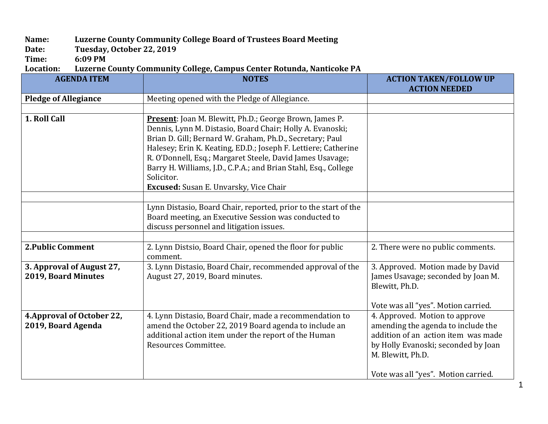## **Name: Luzerne County Community College Board of Trustees Board Meeting**

Date: Tuesday, October 22, 2019<br>Time: 6:09 PM

Time: 6:09 PM<br>Location: Luzerne 0 Luzerne County Community College, Campus Center Rotunda, Nanticoke PA

| <b>AGENDA ITEM</b>          | <b>NOTES</b>                                                    | <b>ACTION TAKEN/FOLLOW UP</b>       |
|-----------------------------|-----------------------------------------------------------------|-------------------------------------|
|                             |                                                                 | <b>ACTION NEEDED</b>                |
| <b>Pledge of Allegiance</b> | Meeting opened with the Pledge of Allegiance.                   |                                     |
|                             |                                                                 |                                     |
| 1. Roll Call                | <b>Present</b> : Joan M. Blewitt, Ph.D.; George Brown, James P. |                                     |
|                             | Dennis, Lynn M. Distasio, Board Chair; Holly A. Evanoski;       |                                     |
|                             | Brian D. Gill; Bernard W. Graham, Ph.D., Secretary; Paul        |                                     |
|                             | Halesey; Erin K. Keating, ED.D.; Joseph F. Lettiere; Catherine  |                                     |
|                             | R. O'Donnell, Esq.; Margaret Steele, David James Usavage;       |                                     |
|                             | Barry H. Williams, J.D., C.P.A.; and Brian Stahl, Esq., College |                                     |
|                             | Solicitor.                                                      |                                     |
|                             | Excused: Susan E. Unvarsky, Vice Chair                          |                                     |
|                             |                                                                 |                                     |
|                             | Lynn Distasio, Board Chair, reported, prior to the start of the |                                     |
|                             | Board meeting, an Executive Session was conducted to            |                                     |
|                             | discuss personnel and litigation issues.                        |                                     |
|                             |                                                                 |                                     |
| <b>2. Public Comment</b>    | 2. Lynn Distsio, Board Chair, opened the floor for public       | 2. There were no public comments.   |
|                             | comment.                                                        |                                     |
| 3. Approval of August 27,   | 3. Lynn Distasio, Board Chair, recommended approval of the      | 3. Approved. Motion made by David   |
| 2019, Board Minutes         | August 27, 2019, Board minutes.                                 | James Usavage; seconded by Joan M.  |
|                             |                                                                 | Blewitt, Ph.D.                      |
|                             |                                                                 |                                     |
|                             |                                                                 | Vote was all "yes". Motion carried. |
| 4. Approval of October 22,  | 4. Lynn Distasio, Board Chair, made a recommendation to         | 4. Approved. Motion to approve      |
| 2019, Board Agenda          | amend the October 22, 2019 Board agenda to include an           | amending the agenda to include the  |
|                             | additional action item under the report of the Human            | addition of an action item was made |
|                             | Resources Committee.                                            | by Holly Evanoski; seconded by Joan |
|                             |                                                                 | M. Blewitt, Ph.D.                   |
|                             |                                                                 |                                     |
|                             |                                                                 | Vote was all "yes". Motion carried. |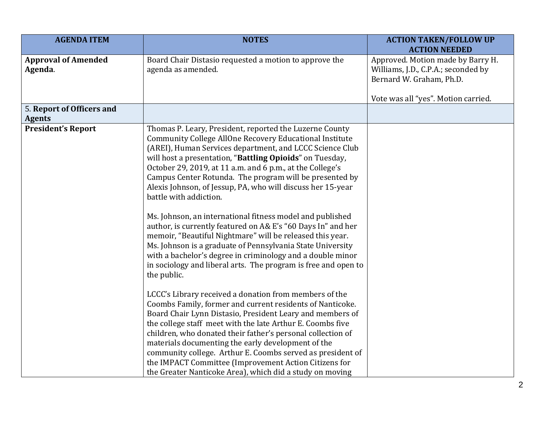| <b>AGENDA ITEM</b>                         | <b>NOTES</b>                                                                                                                                                                                                                                                                                                                                                                                                                                                                                                                                                                                                                                                                                                                                                                                                                                                                                                                                                                                                                                                                                                                                                                                                                                                                                                                                                                                                                 | <b>ACTION TAKEN/FOLLOW UP</b><br><b>ACTION NEEDED</b>                                                |
|--------------------------------------------|------------------------------------------------------------------------------------------------------------------------------------------------------------------------------------------------------------------------------------------------------------------------------------------------------------------------------------------------------------------------------------------------------------------------------------------------------------------------------------------------------------------------------------------------------------------------------------------------------------------------------------------------------------------------------------------------------------------------------------------------------------------------------------------------------------------------------------------------------------------------------------------------------------------------------------------------------------------------------------------------------------------------------------------------------------------------------------------------------------------------------------------------------------------------------------------------------------------------------------------------------------------------------------------------------------------------------------------------------------------------------------------------------------------------------|------------------------------------------------------------------------------------------------------|
| <b>Approval of Amended</b><br>Agenda.      | Board Chair Distasio requested a motion to approve the<br>agenda as amended.                                                                                                                                                                                                                                                                                                                                                                                                                                                                                                                                                                                                                                                                                                                                                                                                                                                                                                                                                                                                                                                                                                                                                                                                                                                                                                                                                 | Approved. Motion made by Barry H.<br>Williams, J.D., C.P.A.; seconded by<br>Bernard W. Graham, Ph.D. |
| 5. Report of Officers and<br><b>Agents</b> |                                                                                                                                                                                                                                                                                                                                                                                                                                                                                                                                                                                                                                                                                                                                                                                                                                                                                                                                                                                                                                                                                                                                                                                                                                                                                                                                                                                                                              | Vote was all "yes". Motion carried.                                                                  |
| <b>President's Report</b>                  | Thomas P. Leary, President, reported the Luzerne County<br>Community College AllOne Recovery Educational Institute<br>(AREI), Human Services department, and LCCC Science Club<br>will host a presentation, "Battling Opioids" on Tuesday,<br>October 29, 2019, at 11 a.m. and 6 p.m., at the College's<br>Campus Center Rotunda. The program will be presented by<br>Alexis Johnson, of Jessup, PA, who will discuss her 15-year<br>battle with addiction.<br>Ms. Johnson, an international fitness model and published<br>author, is currently featured on A& E's "60 Days In" and her<br>memoir, "Beautiful Nightmare" will be released this year.<br>Ms. Johnson is a graduate of Pennsylvania State University<br>with a bachelor's degree in criminology and a double minor<br>in sociology and liberal arts. The program is free and open to<br>the public.<br>LCCC's Library received a donation from members of the<br>Coombs Family, former and current residents of Nanticoke.<br>Board Chair Lynn Distasio, President Leary and members of<br>the college staff meet with the late Arthur E. Coombs five<br>children, who donated their father's personal collection of<br>materials documenting the early development of the<br>community college. Arthur E. Coombs served as president of<br>the IMPACT Committee (Improvement Action Citizens for<br>the Greater Nanticoke Area), which did a study on moving |                                                                                                      |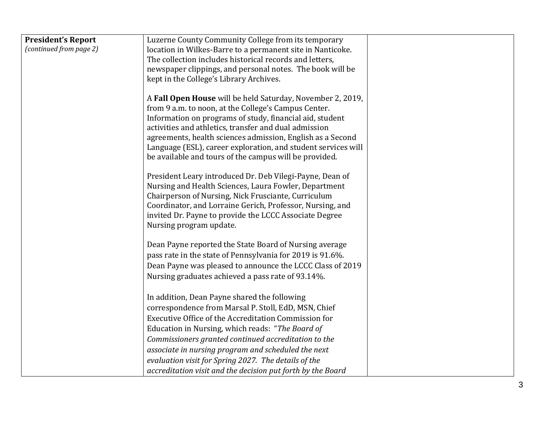| <b>President's Report</b> | Luzerne County Community College from its temporary                                                          |  |
|---------------------------|--------------------------------------------------------------------------------------------------------------|--|
| (continued from page 2)   | location in Wilkes-Barre to a permanent site in Nanticoke.                                                   |  |
|                           | The collection includes historical records and letters,                                                      |  |
|                           | newspaper clippings, and personal notes. The book will be                                                    |  |
|                           | kept in the College's Library Archives.                                                                      |  |
|                           |                                                                                                              |  |
|                           | A Fall Open House will be held Saturday, November 2, 2019,                                                   |  |
|                           | from 9 a.m. to noon, at the College's Campus Center.                                                         |  |
|                           | Information on programs of study, financial aid, student                                                     |  |
|                           | activities and athletics, transfer and dual admission                                                        |  |
|                           | agreements, health sciences admission, English as a Second                                                   |  |
|                           | Language (ESL), career exploration, and student services will                                                |  |
|                           | be available and tours of the campus will be provided.                                                       |  |
|                           | President Leary introduced Dr. Deb Vilegi-Payne, Dean of                                                     |  |
|                           | Nursing and Health Sciences, Laura Fowler, Department                                                        |  |
|                           | Chairperson of Nursing, Nick Frusciante, Curriculum                                                          |  |
|                           | Coordinator, and Lorraine Gerich, Professor, Nursing, and                                                    |  |
|                           | invited Dr. Payne to provide the LCCC Associate Degree                                                       |  |
|                           | Nursing program update.                                                                                      |  |
|                           |                                                                                                              |  |
|                           | Dean Payne reported the State Board of Nursing average                                                       |  |
|                           | pass rate in the state of Pennsylvania for 2019 is 91.6%.                                                    |  |
|                           | Dean Payne was pleased to announce the LCCC Class of 2019                                                    |  |
|                           | Nursing graduates achieved a pass rate of 93.14%.                                                            |  |
|                           |                                                                                                              |  |
|                           | In addition, Dean Payne shared the following                                                                 |  |
|                           | correspondence from Marsal P. Stoll, EdD, MSN, Chief<br>Executive Office of the Accreditation Commission for |  |
|                           |                                                                                                              |  |
|                           | Education in Nursing, which reads: "The Board of<br>Commissioners granted continued accreditation to the     |  |
|                           |                                                                                                              |  |
|                           | associate in nursing program and scheduled the next                                                          |  |
|                           | evaluation visit for Spring 2027. The details of the                                                         |  |
|                           | accreditation visit and the decision put forth by the Board                                                  |  |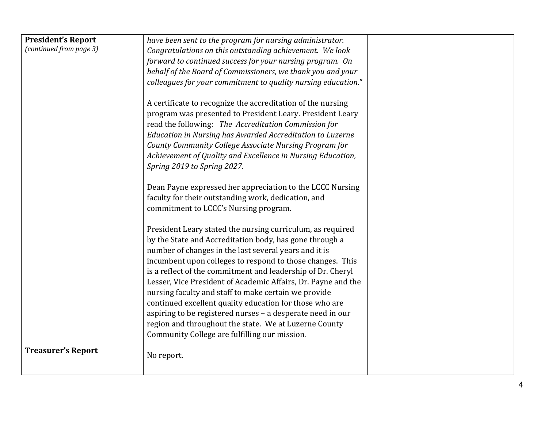| <b>President's Report</b> | have been sent to the program for nursing administrator.      |  |
|---------------------------|---------------------------------------------------------------|--|
| (continued from page 3)   | Congratulations on this outstanding achievement. We look      |  |
|                           | forward to continued success for your nursing program. On     |  |
|                           | behalf of the Board of Commissioners, we thank you and your   |  |
|                           | colleagues for your commitment to quality nursing education." |  |
|                           |                                                               |  |
|                           | A certificate to recognize the accreditation of the nursing   |  |
|                           | program was presented to President Leary. President Leary     |  |
|                           | read the following: The Accreditation Commission for          |  |
|                           | Education in Nursing has Awarded Accreditation to Luzerne     |  |
|                           | County Community College Associate Nursing Program for        |  |
|                           | Achievement of Quality and Excellence in Nursing Education,   |  |
|                           | Spring 2019 to Spring 2027.                                   |  |
|                           |                                                               |  |
|                           | Dean Payne expressed her appreciation to the LCCC Nursing     |  |
|                           | faculty for their outstanding work, dedication, and           |  |
|                           | commitment to LCCC's Nursing program.                         |  |
|                           |                                                               |  |
|                           | President Leary stated the nursing curriculum, as required    |  |
|                           | by the State and Accreditation body, has gone through a       |  |
|                           | number of changes in the last several years and it is         |  |
|                           | incumbent upon colleges to respond to those changes. This     |  |
|                           | is a reflect of the commitment and leadership of Dr. Cheryl   |  |
|                           | Lesser, Vice President of Academic Affairs, Dr. Payne and the |  |
|                           | nursing faculty and staff to make certain we provide          |  |
|                           | continued excellent quality education for those who are       |  |
|                           | aspiring to be registered nurses - a desperate need in our    |  |
|                           | region and throughout the state. We at Luzerne County         |  |
|                           | Community College are fulfilling our mission.                 |  |
| <b>Treasurer's Report</b> | No report.                                                    |  |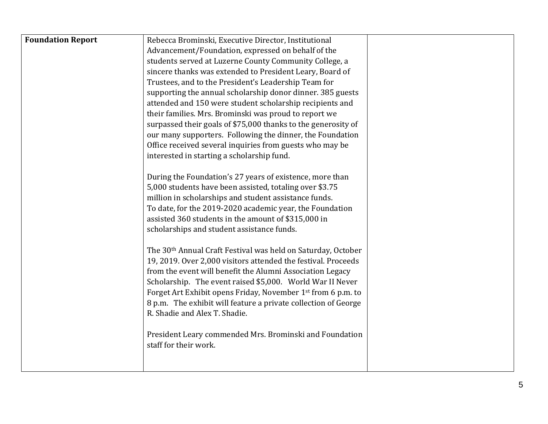| <b>Foundation Report</b> | Rebecca Brominski, Executive Director, Institutional                                                                |  |
|--------------------------|---------------------------------------------------------------------------------------------------------------------|--|
|                          | Advancement/Foundation, expressed on behalf of the                                                                  |  |
|                          | students served at Luzerne County Community College, a                                                              |  |
|                          | sincere thanks was extended to President Leary, Board of                                                            |  |
|                          | Trustees, and to the President's Leadership Team for                                                                |  |
|                          | supporting the annual scholarship donor dinner. 385 guests                                                          |  |
|                          | attended and 150 were student scholarship recipients and                                                            |  |
|                          | their families. Mrs. Brominski was proud to report we                                                               |  |
|                          | surpassed their goals of \$75,000 thanks to the generosity of                                                       |  |
|                          | our many supporters. Following the dinner, the Foundation                                                           |  |
|                          | Office received several inquiries from guests who may be                                                            |  |
|                          | interested in starting a scholarship fund.                                                                          |  |
|                          |                                                                                                                     |  |
|                          | During the Foundation's 27 years of existence, more than<br>5,000 students have been assisted, totaling over \$3.75 |  |
|                          | million in scholarships and student assistance funds.                                                               |  |
|                          | To date, for the 2019-2020 academic year, the Foundation                                                            |  |
|                          | assisted 360 students in the amount of \$315,000 in                                                                 |  |
|                          | scholarships and student assistance funds.                                                                          |  |
|                          |                                                                                                                     |  |
|                          | The 30 <sup>th</sup> Annual Craft Festival was held on Saturday, October                                            |  |
|                          | 19, 2019. Over 2,000 visitors attended the festival. Proceeds                                                       |  |
|                          | from the event will benefit the Alumni Association Legacy                                                           |  |
|                          | Scholarship. The event raised \$5,000. World War II Never                                                           |  |
|                          | Forget Art Exhibit opens Friday, November 1 <sup>st</sup> from 6 p.m. to                                            |  |
|                          | 8 p.m. The exhibit will feature a private collection of George                                                      |  |
|                          | R. Shadie and Alex T. Shadie.                                                                                       |  |
|                          |                                                                                                                     |  |
|                          | President Leary commended Mrs. Brominski and Foundation                                                             |  |
|                          | staff for their work.                                                                                               |  |
|                          |                                                                                                                     |  |
|                          |                                                                                                                     |  |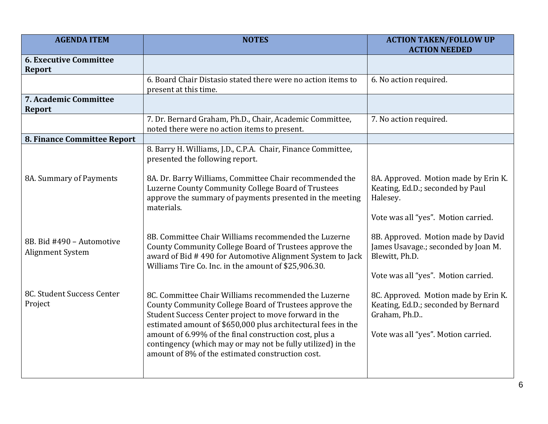| <b>AGENDA ITEM</b>                             | <b>NOTES</b>                                                                                                                                                                                                                                                                                                                                                                                                         | <b>ACTION TAKEN/FOLLOW UP</b><br><b>ACTION NEEDED</b>                                                                              |
|------------------------------------------------|----------------------------------------------------------------------------------------------------------------------------------------------------------------------------------------------------------------------------------------------------------------------------------------------------------------------------------------------------------------------------------------------------------------------|------------------------------------------------------------------------------------------------------------------------------------|
| <b>6. Executive Committee</b><br><b>Report</b> |                                                                                                                                                                                                                                                                                                                                                                                                                      |                                                                                                                                    |
|                                                | 6. Board Chair Distasio stated there were no action items to<br>present at this time.                                                                                                                                                                                                                                                                                                                                | 6. No action required.                                                                                                             |
| 7. Academic Committee<br><b>Report</b>         |                                                                                                                                                                                                                                                                                                                                                                                                                      |                                                                                                                                    |
|                                                | 7. Dr. Bernard Graham, Ph.D., Chair, Academic Committee,<br>noted there were no action items to present.                                                                                                                                                                                                                                                                                                             | 7. No action required.                                                                                                             |
| 8. Finance Committee Report                    |                                                                                                                                                                                                                                                                                                                                                                                                                      |                                                                                                                                    |
|                                                | 8. Barry H. Williams, J.D., C.P.A. Chair, Finance Committee,<br>presented the following report.                                                                                                                                                                                                                                                                                                                      |                                                                                                                                    |
| 8A. Summary of Payments                        | 8A. Dr. Barry Williams, Committee Chair recommended the<br>Luzerne County Community College Board of Trustees<br>approve the summary of payments presented in the meeting<br>materials.                                                                                                                                                                                                                              | 8A. Approved. Motion made by Erin K.<br>Keating, Ed.D.; seconded by Paul<br>Halesey.                                               |
|                                                |                                                                                                                                                                                                                                                                                                                                                                                                                      | Vote was all "yes". Motion carried.                                                                                                |
| 8B. Bid #490 - Automotive<br>Alignment System  | 8B. Committee Chair Williams recommended the Luzerne<br>County Community College Board of Trustees approve the<br>award of Bid #490 for Automotive Alignment System to Jack<br>Williams Tire Co. Inc. in the amount of \$25,906.30.                                                                                                                                                                                  | 8B. Approved. Motion made by David<br>James Usavage.; seconded by Joan M.<br>Blewitt, Ph.D.                                        |
|                                                |                                                                                                                                                                                                                                                                                                                                                                                                                      | Vote was all "yes". Motion carried.                                                                                                |
| 8C. Student Success Center<br>Project          | 8C. Committee Chair Williams recommended the Luzerne<br>County Community College Board of Trustees approve the<br>Student Success Center project to move forward in the<br>estimated amount of \$650,000 plus architectural fees in the<br>amount of 6.99% of the final construction cost, plus a<br>contingency (which may or may not be fully utilized) in the<br>amount of 8% of the estimated construction cost. | 8C. Approved. Motion made by Erin K.<br>Keating, Ed.D.; seconded by Bernard<br>Graham, Ph.D<br>Vote was all "yes". Motion carried. |